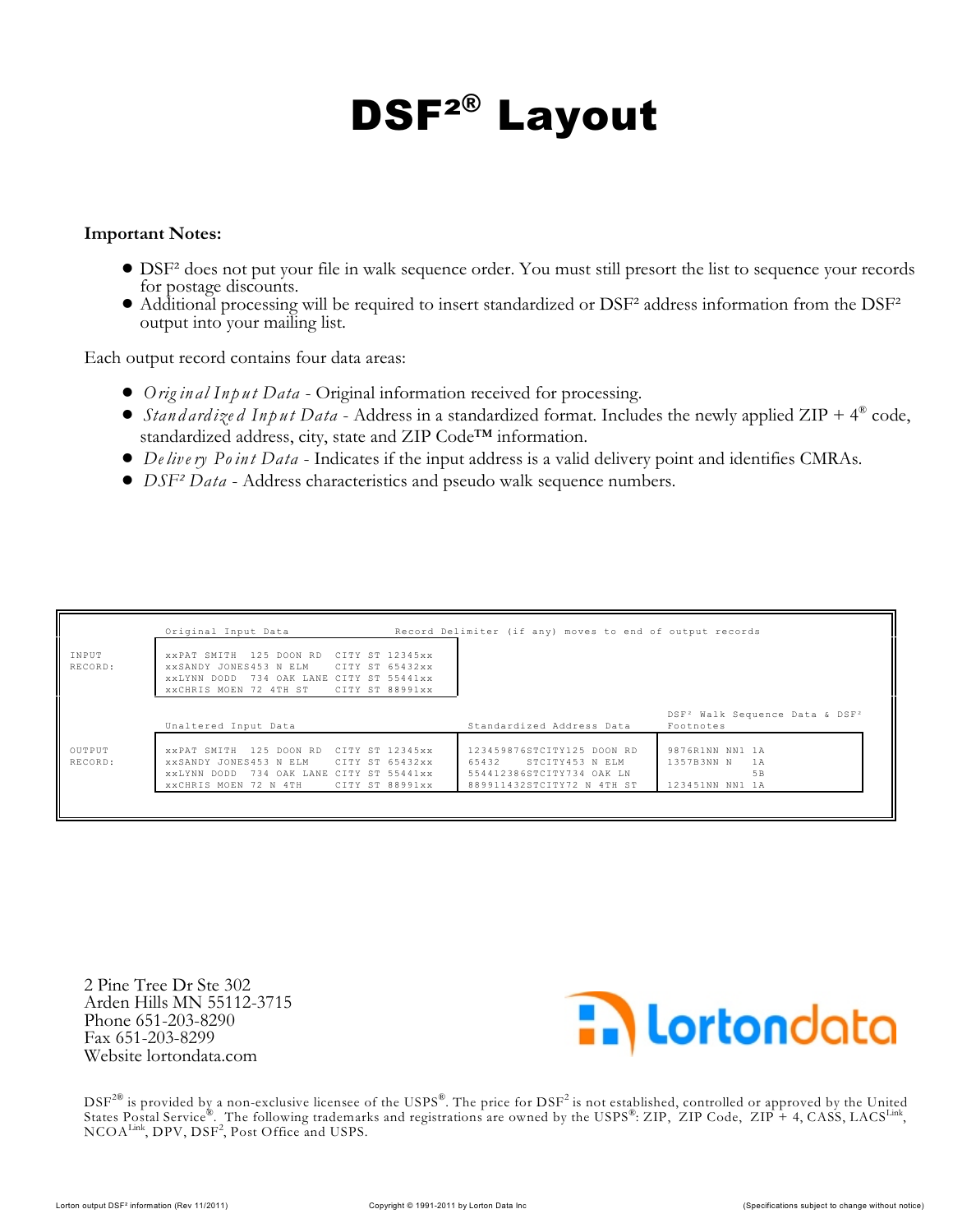## **DSF² Layout ®**

## **Important Notes:**

- ! DSF² does not put your file in walk sequence order. You must still presort the list to sequence your records for postage discounts.
- $\bullet$  Additional processing will be required to insert standardized or DSF<sup>2</sup> address information from the DSF<sup>2</sup> output into your mailing list.

Each output record contains four data areas:

- ! *Orig inal Input Data* Original information received for processing.
- *Stand ard ize d Input Data* Address in a standardized format. Includes the newly applied ZIP +  $4^{\circledast}$  code, standardized address, city, state and ZIP Code™ information.
- ! *De live ry Po int Data* Indicates if the input address is a valid delivery point and identifies CMRAs.
- ! *DSF² Data* Address characteristics and pseudo walk sequence numbers.

|                   | Original Input Data                                                                                                                                                                 | Record Delimiter (if any) moves to end of output records                                                          |                                                                     |
|-------------------|-------------------------------------------------------------------------------------------------------------------------------------------------------------------------------------|-------------------------------------------------------------------------------------------------------------------|---------------------------------------------------------------------|
| INPUT<br>RECORD:  | CITY ST 12345xx<br>125 DOON RD<br>XXPAT SMITH<br>xxSANDY JONES453 N ELM CITY ST 65432xx<br>734 OAK LANE CITY ST 55441xx<br>XXLYNN DODD<br>XXCHRIS MOEN 72 4TH ST<br>CITY ST 88991xx |                                                                                                                   |                                                                     |
|                   | Unaltered Input Data                                                                                                                                                                | Standardized Address Data                                                                                         | DSF <sup>2</sup> Walk Sequence Data & DSF <sup>2</sup><br>Footnotes |
| OUTPUT<br>RECORD: | CITY ST 12345xx<br>125 DOON RD<br>XXPAT SMITH<br>XXSANDY JONES453 N ELM<br>CITY ST 65432xx<br>XXLYNN DODD 734 OAK LANE CITY ST 55441xx<br>xxCHRIS MOEN 72 N 4TH CITY ST 88991xx     | 123459876STCITY125 DOON RD<br>65432<br>STCITY453 N ELM<br>554412386STCITY734 OAK LN<br>889911432STCITY72 N 4TH ST | 9876R1NN NN1 1A<br>1357B3NN N<br>1A<br>5B<br>123451NN NN1 1A        |

2 Pine Tree Dr Ste 302 Arden Hills MN 55112-3715 Phone 651-203-8290 Fax 651-203-8299 Website lortondata.com



 $\text{DSF}^{2\circledR}$  is provided by a non-exclusive licensee of the USPS $^\circ$ . The price for  $\text{DSF}^2$  is not established, controlled or approved by the United States Postal Service®. The following trademarks and registrations are owned by the USPS®: ZIP, ZIP Code, ZIP + 4, CASS, LACS  $^{\rm Link}$  $NCOA<sup>Link</sup>, DPV, DSF<sup>2</sup>, Post Office and USPS.$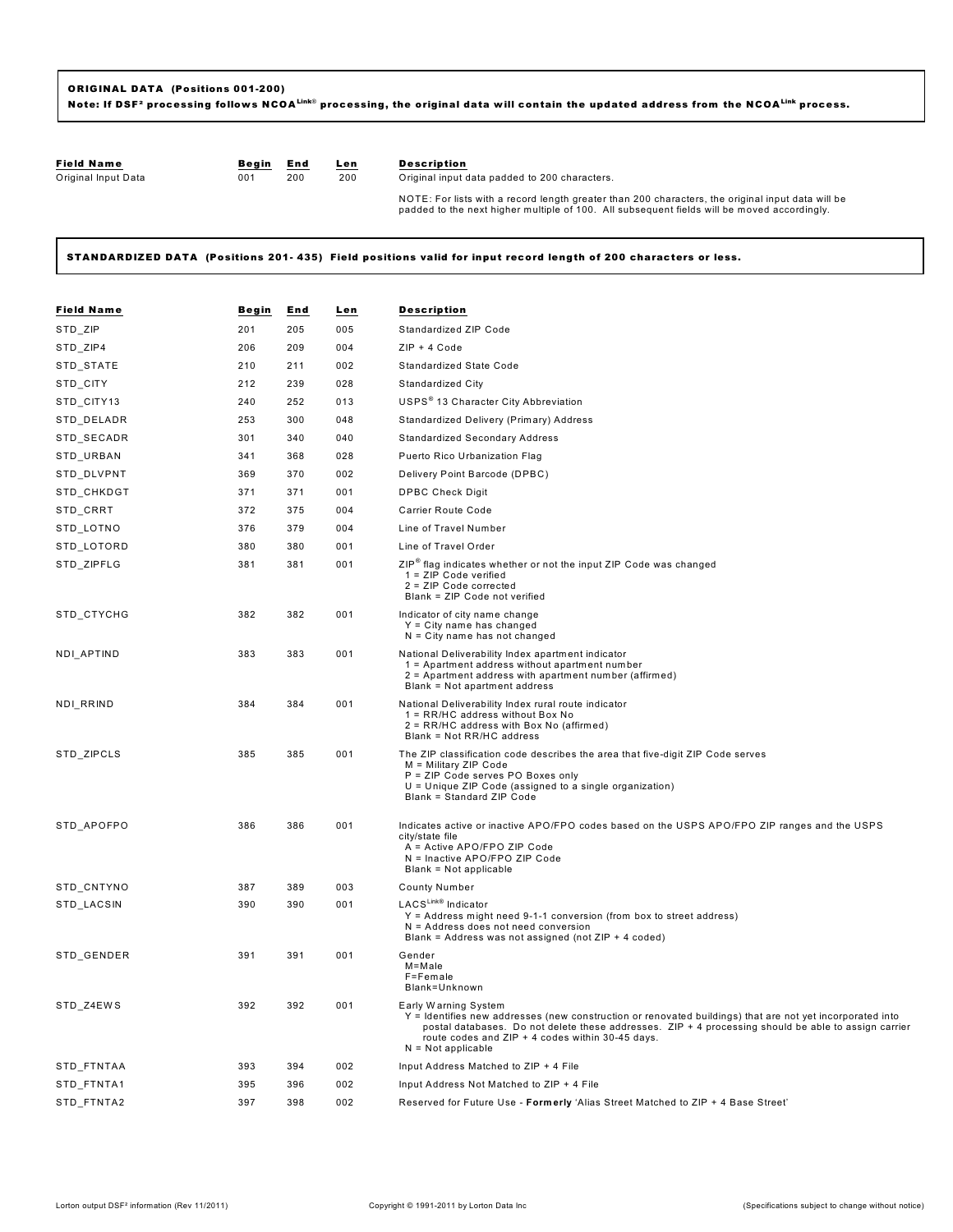| <b>Field Name</b>   | Begin | End | Len | <b>Description</b>                                                                                                                                                                               |
|---------------------|-------|-----|-----|--------------------------------------------------------------------------------------------------------------------------------------------------------------------------------------------------|
| Original Input Data | 001   | 200 | 200 | Original input data padded to 200 characters.                                                                                                                                                    |
|                     |       |     |     | NOTE: For lists with a record length greater than 200 characters, the original input data will be<br>padded to the next higher multiple of 100. All subsequent fields will be moved accordingly. |

STANDARDIZED DATA (Positions 201-435) Field positions valid for input record length of 200 characters or less.

| <b>Field Name</b> | Begin | End | Len | Description                                                                                                                                                                                                                                                                                                           |
|-------------------|-------|-----|-----|-----------------------------------------------------------------------------------------------------------------------------------------------------------------------------------------------------------------------------------------------------------------------------------------------------------------------|
| STD_ZIP           | 201   | 205 | 005 | Standardized ZIP Code                                                                                                                                                                                                                                                                                                 |
| STD_ZIP4          | 206   | 209 | 004 | $ZIP + 4 Code$                                                                                                                                                                                                                                                                                                        |
| STD_STATE         | 210   | 211 | 002 | Standardized State Code                                                                                                                                                                                                                                                                                               |
| STD_CITY          | 212   | 239 | 028 | Standardized City                                                                                                                                                                                                                                                                                                     |
| STD_CITY13        | 240   | 252 | 013 | USPS <sup>®</sup> 13 Character City Abbreviation                                                                                                                                                                                                                                                                      |
| STD_DELADR        | 253   | 300 | 048 | Standardized Delivery (Primary) Address                                                                                                                                                                                                                                                                               |
| STD_SECADR        | 301   | 340 | 040 | <b>Standardized Secondary Address</b>                                                                                                                                                                                                                                                                                 |
| STD_URBAN         | 341   | 368 | 028 | Puerto Rico Urbanization Flag                                                                                                                                                                                                                                                                                         |
| STD_DLVPNT        | 369   | 370 | 002 | Delivery Point Barcode (DPBC)                                                                                                                                                                                                                                                                                         |
| STD_CHKDGT        | 371   | 371 | 001 | <b>DPBC Check Digit</b>                                                                                                                                                                                                                                                                                               |
| STD_CRRT          | 372   | 375 | 004 | <b>Carrier Route Code</b>                                                                                                                                                                                                                                                                                             |
| STD_LOTNO         | 376   | 379 | 004 | Line of Travel Number                                                                                                                                                                                                                                                                                                 |
| STD_LOTORD        | 380   | 380 | 001 | Line of Travel Order                                                                                                                                                                                                                                                                                                  |
| STD_ZIPFLG        | 381   | 381 | 001 | ZIP <sup>®</sup> flag indicates whether or not the input ZIP Code was changed<br>1 = ZIP Code verified<br>2 = ZIP Code corrected<br>Blank = ZIP Code not verified                                                                                                                                                     |
| STD_CTYCHG        | 382   | 382 | 001 | Indicator of city name change<br>$Y = City$ name has changed<br>$N = City$ name has not changed                                                                                                                                                                                                                       |
| NDI_APTIND        | 383   | 383 | 001 | National Deliverability Index apartment indicator<br>1 = Apartment address without apartment number<br>2 = Apartment address with apartment number (affirmed)<br>Blank = Not apartment address                                                                                                                        |
| NDI_RRIND         | 384   | 384 | 001 | National Deliverability Index rural route indicator<br>1 = RR/HC address without Box No<br>2 = RR/HC address with Box No (affirmed)<br>Blank = Not RR/HC address                                                                                                                                                      |
| STD_ZIPCLS        | 385   | 385 | 001 | The ZIP classification code describes the area that five-digit ZIP Code serves<br>M = Military ZIP Code<br>P = ZIP Code serves PO Boxes only<br>U = Unique ZIP Code (assigned to a single organization)<br>Blank = Standard ZIP Code                                                                                  |
| STD APOFPO        | 386   | 386 | 001 | Indicates active or inactive APO/FPO codes based on the USPS APO/FPO ZIP ranges and the USPS<br>city/state file<br>A = Active APO/FPO ZIP Code<br>N = Inactive APO/FPO ZIP Code<br>Blank = Not applicable                                                                                                             |
| STD_CNTYNO        | 387   | 389 | 003 | <b>County Number</b>                                                                                                                                                                                                                                                                                                  |
| STD LACSIN        | 390   | 390 | 001 | LACS <sup>Link®</sup> Indicator<br>$Y =$ Address might need 9-1-1 conversion (from box to street address)<br>$N =$ Address does not need conversion<br>Blank = Address was not assigned (not $ZIP + 4$ coded)                                                                                                         |
| STD_GENDER        | 391   | 391 | 001 | Gender<br>M=Male<br>F=Female<br>Blank=Unknown                                                                                                                                                                                                                                                                         |
| STD_Z4EWS         | 392   | 392 | 001 | Early Warning System<br>Y = Identifies new addresses (new construction or renovated buildings) that are not yet incorporated into<br>postal databases. Do not delete these addresses. ZIP + 4 processing should be able to assign carrier<br>route codes and ZIP + 4 codes within 30-45 days.<br>$N = Not applicable$ |
| STD_FTNTAA        | 393   | 394 | 002 | Input Address Matched to ZIP + 4 File                                                                                                                                                                                                                                                                                 |
| STD_FTNTA1        | 395   | 396 | 002 | Input Address Not Matched to ZIP + 4 File                                                                                                                                                                                                                                                                             |
| STD FTNTA2        | 397   | 398 | 002 | Reserved for Future Use - Formerly 'Alias Street Matched to ZIP + 4 Base Street'                                                                                                                                                                                                                                      |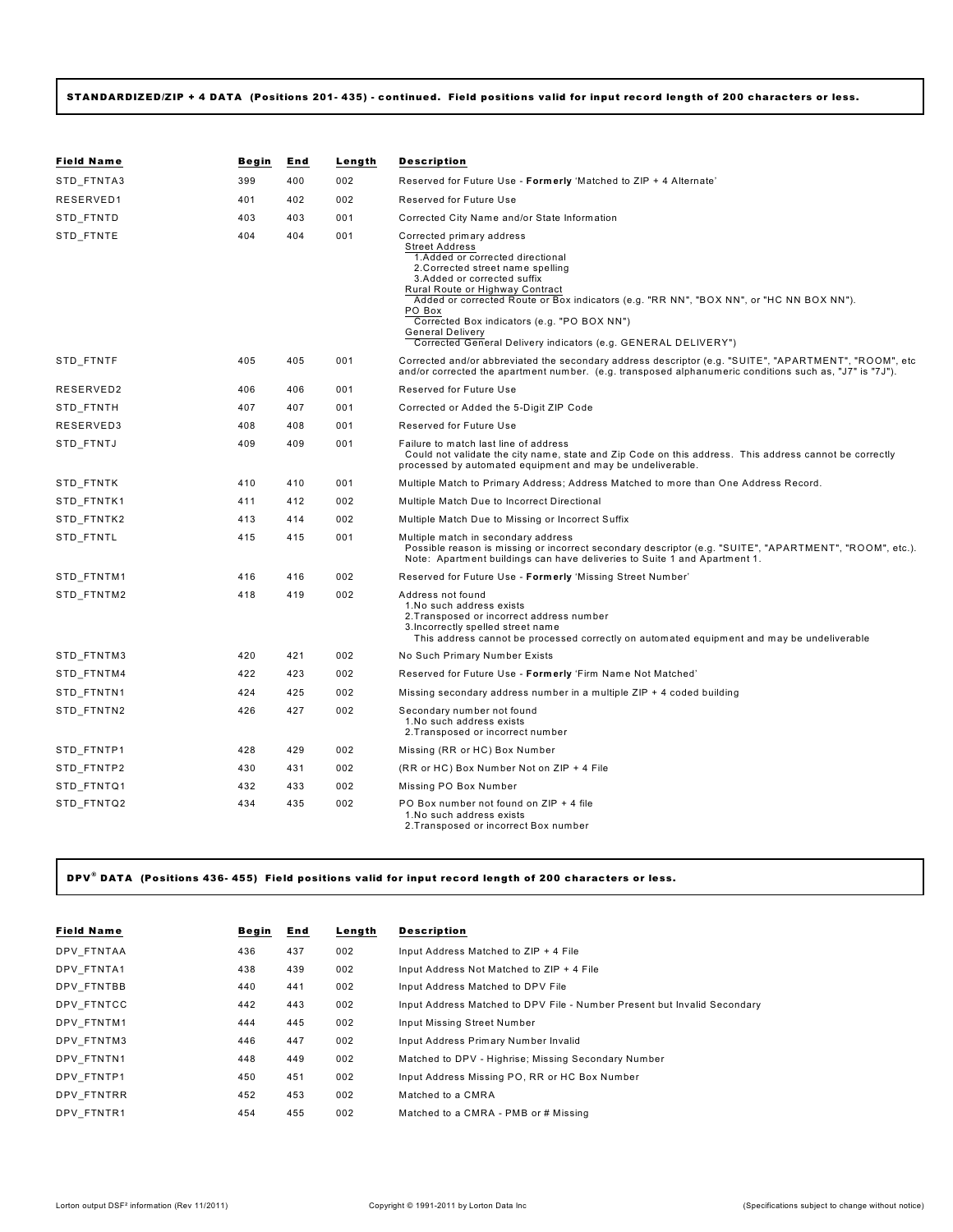## **STANDARDIZED/ZIP + 4 DATA (Positions 201- 435) - continued. Field positions valid for input record length of 200 characters or less.**

| <b>Field Name</b> | Begin | End | Length | <b>Description</b>                                                                                                                                                                                                                                                                                                                                                                                                                             |
|-------------------|-------|-----|--------|------------------------------------------------------------------------------------------------------------------------------------------------------------------------------------------------------------------------------------------------------------------------------------------------------------------------------------------------------------------------------------------------------------------------------------------------|
| STD FTNTA3        | 399   | 400 | 002    | Reserved for Future Use - Formerly 'Matched to ZIP + 4 Alternate'                                                                                                                                                                                                                                                                                                                                                                              |
| RESERVED1         | 401   | 402 | 002    | Reserved for Future Use                                                                                                                                                                                                                                                                                                                                                                                                                        |
| STD FTNTD         | 403   | 403 | 001    | Corrected City Name and/or State Information                                                                                                                                                                                                                                                                                                                                                                                                   |
| STD FTNTE         | 404   | 404 | 001    | Corrected primary address<br><b>Street Address</b><br>1.Added or corrected directional<br>2. Corrected street name spelling<br>3.Added or corrected suffix<br>Rural Route or Highway Contract<br>Added or corrected Route or Box indicators (e.g. "RR NN", "BOX NN", or "HC NN BOX NN").<br>PO Box<br>Corrected Box indicators (e.g. "PO BOX NN")<br><b>General Delivery</b><br>Corrected General Delivery indicators (e.g. GENERAL DELIVERY") |
| STD_FTNTF         | 405   | 405 | 001    | Corrected and/or abbreviated the secondary address descriptor (e.g. "SUITE", "APARTMENT", "ROOM", etc<br>and/or corrected the apartment number. (e.g. transposed alphanumeric conditions such as, "J7" is "7J").                                                                                                                                                                                                                               |
| RESERVED2         | 406   | 406 | 001    | Reserved for Future Use                                                                                                                                                                                                                                                                                                                                                                                                                        |
| STD FTNTH         | 407   | 407 | 001    | Corrected or Added the 5-Digit ZIP Code                                                                                                                                                                                                                                                                                                                                                                                                        |
| RESERVED3         | 408   | 408 | 001    | Reserved for Future Use                                                                                                                                                                                                                                                                                                                                                                                                                        |
| STD FTNTJ         | 409   | 409 | 001    | Failure to match last line of address<br>Could not validate the city name, state and Zip Code on this address. This address cannot be correctly<br>processed by automated equipment and may be undeliverable.                                                                                                                                                                                                                                  |
| STD_FTNTK         | 410   | 410 | 001    | Multiple Match to Primary Address; Address Matched to more than One Address Record.                                                                                                                                                                                                                                                                                                                                                            |
| STD_FTNTK1        | 411   | 412 | 002    | Multiple Match Due to Incorrect Directional                                                                                                                                                                                                                                                                                                                                                                                                    |
| STD FTNTK2        | 413   | 414 | 002    | Multiple Match Due to Missing or Incorrect Suffix                                                                                                                                                                                                                                                                                                                                                                                              |
| STD_FTNTL         | 415   | 415 | 001    | Multiple match in secondary address<br>Possible reason is missing or incorrect secondary descriptor (e.g. "SUITE", "APARTMENT", "ROOM", etc.).<br>Note: Apartment buildings can have deliveries to Suite 1 and Apartment 1.                                                                                                                                                                                                                    |
| STD FTNTM1        | 416   | 416 | 002    | Reserved for Future Use - Formerly 'Missing Street Number'                                                                                                                                                                                                                                                                                                                                                                                     |
| STD_FTNTM2        | 418   | 419 | 002    | Address not found<br>1. No such address exists<br>2. Transposed or incorrect address number<br>3. Incorrectly spelled street name<br>This address cannot be processed correctly on automated equipment and may be undeliverable                                                                                                                                                                                                                |
| STD_FTNTM3        | 420   | 421 | 002    | No Such Primary Number Exists                                                                                                                                                                                                                                                                                                                                                                                                                  |
| STD_FTNTM4        | 422   | 423 | 002    | Reserved for Future Use - Formerly 'Firm Name Not Matched'                                                                                                                                                                                                                                                                                                                                                                                     |
| STD FTNTN1        | 424   | 425 | 002    | Missing secondary address number in a multiple $ZIP + 4$ coded building                                                                                                                                                                                                                                                                                                                                                                        |
| STD_FTNTN2        | 426   | 427 | 002    | Secondary number not found<br>1. No such address exists<br>2. Transposed or incorrect number                                                                                                                                                                                                                                                                                                                                                   |
| STD FTNTP1        | 428   | 429 | 002    | Missing (RR or HC) Box Number                                                                                                                                                                                                                                                                                                                                                                                                                  |
| STD_FTNTP2        | 430   | 431 | 002    | (RR or HC) Box Number Not on ZIP + 4 File                                                                                                                                                                                                                                                                                                                                                                                                      |
| STD_FTNTQ1        | 432   | 433 | 002    | Missing PO Box Number                                                                                                                                                                                                                                                                                                                                                                                                                          |
| STD FTNTQ2        | 434   | 435 | 002    | PO Box number not found on ZIP + 4 file<br>1.No such address exists<br>2. Transposed or incorrect Box number                                                                                                                                                                                                                                                                                                                                   |

**DPV**<sup>®</sup> DATA (Positions 436-455) Field positions valid for input record length of 200 characters or less.

| <b>Field Name</b> | Begin | End | Length | <b>Description</b>                                                       |
|-------------------|-------|-----|--------|--------------------------------------------------------------------------|
| DPV FTNTAA        | 436   | 437 | 002    | Input Address Matched to ZIP + 4 File                                    |
| DPV FTNTA1        | 438   | 439 | 002    | Input Address Not Matched to ZIP + 4 File                                |
| DPV FTNTBB        | 440   | 441 | 002    | Input Address Matched to DPV File                                        |
| DPV FTNTCC        | 442   | 443 | 002    | Input Address Matched to DPV File - Number Present but Invalid Secondary |
| DPV FTNTM1        | 444   | 445 | 002    | Input Missing Street Number                                              |
| DPV FTNTM3        | 446   | 447 | 002    | Input Address Primary Number Invalid                                     |
| DPV FTNTN1        | 448   | 449 | 002    | Matched to DPV - Highrise; Missing Secondary Number                      |
| DPV FTNTP1        | 450   | 451 | 002    | Input Address Missing PO, RR or HC Box Number                            |
| DPV FTNTRR        | 452   | 453 | 002    | Matched to a CMRA                                                        |
| DPV FTNTR1        | 454   | 455 | 002    | Matched to a CMRA - PMB or # Missing                                     |